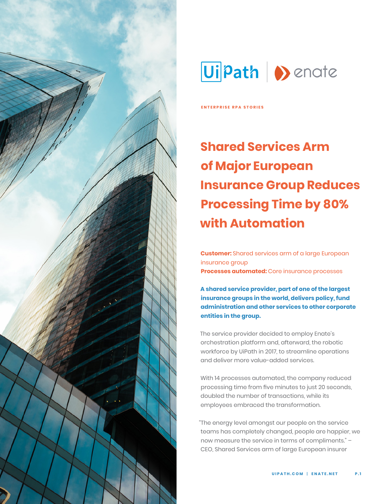



**ENTERPRISE RPA STORIES**

# **Shared Services Arm of Major European Insurance Group Reduces Processing Time by 80% with Automation**

**Customer:** Shared services arm of a large European insurance group **Processes automated:** Core insurance processes

**A shared service provider, part of one of the largest insurance groups in the world, delivers policy, fund administration and other services to other corporate entities in the group.** 

The service provider decided to employ Enate's orchestration platform and, afterward, the robotic workforce by UiPath in 2017, to streamline operations and deliver more value-added services.

With 14 processes automated, the company reduced processing time from five minutes to just 20 seconds, doubled the number of transactions, while its employees embraced the transformation.

"The energy level amongst our people on the service teams has completely changed, people are happier, we now measure the service in terms of compliments." – CEO, Shared Services arm of large European insurer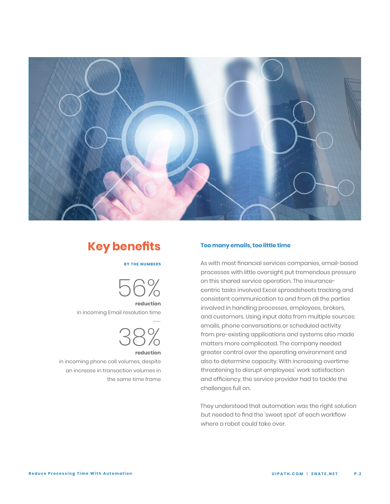

# **Key benefits**

### **BY THE NUMBERS**



in incoming Email resolution time



 in incoming phone call volumes, despite an increase in transaction volumes in the same time frame

### **Too many emails, too little time**

As with most financial services companies, email-based processes with little oversight put tremendous pressure on this shared service operation. The insurancecentric tasks involved Excel spreadsheets tracking and consistent communication to and from all the parties involved in handling processes, employees, brokers, and customers. Using input data from multiple sources: emails, phone conversations or scheduled activity from pre-existing applications and systems also made matters more complicated. The company needed greater control over the operating environment and also to determine capacity. With increasing overtime threatening to disrupt employees' work satisfaction and efficiency, the service provider had to tackle the challenges full on.

They understood that automation was the right solution but needed to find the 'sweet spot' of each workflow where a robot could take over.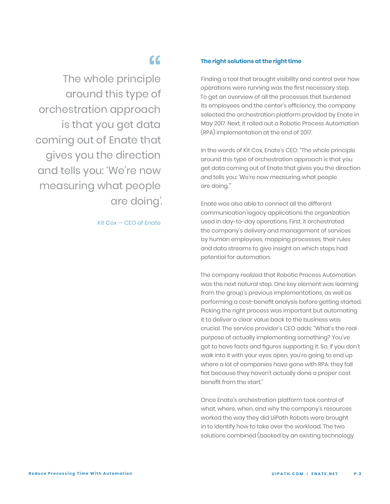The whole principle around this type of orchestration approach is that you get data coming out of Enate that gives you the direction and tells you: 'We're now measuring what people are doing'. be<br>dended<br>grof

Kit Cox — CEO of Enate

### **The right solutions at the right time**

Finding a tool that brought visibility and control over how operations were running was the first necessary step. To get an overview of all the processes that burdened its employees and the center's efficiency, the company selected the orchestration platform provided by Enate in May 2017. Next, it rolled out a Robotic Process Automation (RPA) implementation at the end of 2017.

In the words of Kit Cox, Enate's CEO: "The whole principle around this type of orchestration approach is that you get data coming out of Enate that gives you the direction and tells you: 'We're now measuring what people are doing.'"

Enate was also able to connect all the different communication legacy applications the organization used in day-to-day operations. First, it orchestrated the company's delivery and management of services by human employees, mapping processes, their rules and data streams to give insight on which steps had potential for automation.

The company realized that Robotic Process Automation was the next natural step. One key element was learning from the group's previous implementations, as well as performing a cost-benefit analysis before getting started. Picking the right process was important but automating it to deliver a clear value back to the business was crucial. The service provider's CEO adds: "What's the real purpose of actually implementing something? You've got to have facts and figures supporting it. So, if you don't walk into it with your eyes open, you're going to end up where a lot of companies have gone with RPA: they fall flat because they haven't actually done a proper cost benefit from the start."

Once Enate's orchestration platform took control of what, where, when, and why the company's resources worked the way they did UiPath Robots were brought in to identify how to take over the workload. The two solutions combined (backed by an existing technology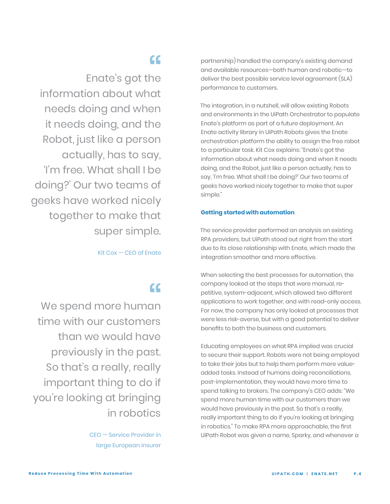Enate's got the information about what needs doing and when it needs doing, and the Robot, just like a person actually, has to say, 'I'm free. What shall I be doing?' Our two teams of geeks have worked nicely together to make that super simple. "<br>he<br>"

Kit Cox — CEO of Enate

We spend more human time with our customers than we would have previously in the past. So that's a really, really important thing to do if you're looking at bringing in robotics a<br>|<br>|<br>|<br>|<br>|<br>|<br>|

> CEO — Service Provider in large European insurer

partnership) handled the company's existing demand and available resources—both human and robotic—to deliver the best possible service level agreement (SLA) performance to customers.

The integration, in a nutshell, will allow existing Robots and environments in the UiPath Orchestrator to populate Enate's platform as part of a future deployment. An Enate activity library in UiPath Robots gives the Enate orchestration platform the ability to assign the free robot to a particular task. Kit Cox explains: "Enate's got the information about what needs doing and when it needs doing, and the Robot, just like a person actually, has to say, 'I'm free. What shall I be doing?' Our two teams of geeks have worked nicely together to make that super simple."

### **Getting started with automation**

The service provider performed an analysis on existing RPA providers, but UiPath stood out right from the start due to its close relationship with Enate, which made the integration smoother and more effective.

When selecting the best processes for automation, the company looked at the steps that were manual, repetitive, system-adjacent, which allowed two different applications to work together, and with read-only access. For now, the company has only looked at processes that were less risk-averse, but with a good potential to deliver benefits to both the business and customers.

Educating employees on what RPA implied was crucial to secure their support. Robots were not being employed to take their jobs but to help them perform more valueadded tasks. Instead of humans doing reconciliations, post-implementation, they would have more time to spend talking to brokers. The company's CEO adds: "We spend more human time with our customers than we would have previously in the past. So that's a really, really important thing to do if you're looking at bringing in robotics." To make RPA more approachable, the first UiPath Robot was given a name, Sparky, and whenever a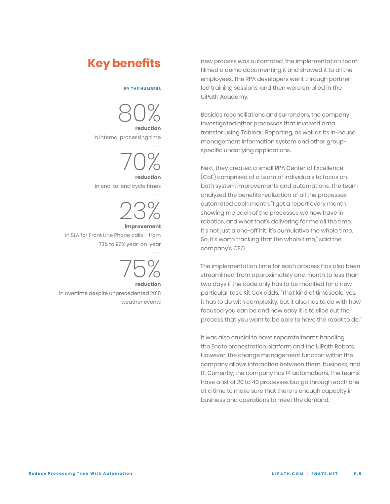### **BY THE NUMBERS**

80% **reduction** 

in internal processing time —



in end-to-end cycle times



in SLA for Front Line Phone calls – from 73% to 96% year-on-year



in overtime despite unprecedented 2018 weather events

**Key benefits** new process was automated, the implementation team filmed a demo documenting it and showed it to all the employees. The RPA developers went through partnerled training sessions, and then were enrolled in the UiPath Academy.

> Besides reconciliations and surrenders, the company investigated other processes that involved data transfer using Tableau Reporting, as well as its in-house management information system and other groupspecific underlying applications.

Next, they created a small RPA Center of Excellence (CoE) comprised of a team of individuals to focus on both system improvements and automations. The team analyzed the benefits realization of all the processes automated each month. "I get a report every month showing me each of the processes we now have in robotics, and what that's delivering for me all the time. It's not just a one-off hit; it's cumulative the whole time. So, it's worth tracking that the whole time," said the company's CEO.

The implementation time for each process has also been streamlined, from approximately one month to less than two days if the code only has to be modified for a new particular task. Kit Cox adds: "That kind of timescale, yes, it has to do with complexity, but it also has to do with how focused you can be and how easy it is to slice out the process that you want to be able to have the robot to do."

It was also crucial to have separate teams handling the Enate orchestration platform and the UiPath Robots. However, the change management function within the company allows interaction between them, business, and IT. Currently, the company has 14 automations. The teams have a list of 20 to 40 processes but go through each one at a time to make sure that there is enough capacity in business and operations to meet the demand.